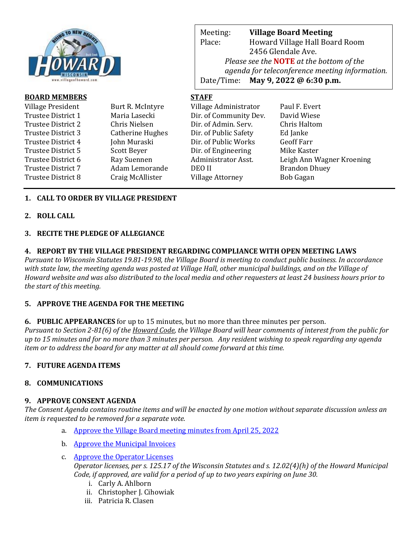

| <b>BOARD MEMBERS</b> |                  | <b>STAFF</b>            |                           |
|----------------------|------------------|-------------------------|---------------------------|
| Village President    | Burt R. McIntyre | Village Administrator   | Paul F. Evert             |
| Trustee District 1   | Maria Lasecki    | Dir. of Community Dev.  | David Wiese               |
| Trustee District 2   | Chris Nielsen    | Dir. of Admin. Serv.    | Chris Haltom              |
| Trustee District 3   | Catherine Hughes | Dir. of Public Safety   | Ed Janke                  |
| Trustee District 4   | John Muraski     | Dir. of Public Works    | <b>Geoff Farr</b>         |
| Trustee District 5   | Scott Beyer      | Dir. of Engineering     | Mike Kaster               |
| Trustee District 6   | Ray Suennen      | Administrator Asst.     | Leigh Ann Wagner Kroening |
| Trustee District 7   | Adam Lemorande   | DEO II                  | <b>Brandon Dhuey</b>      |
| Trustee District 8   | Craig McAllister | <b>Village Attorney</b> | Bob Gagan                 |
|                      |                  |                         |                           |

# **1. CALL TO ORDER BY VILLAGE PRESIDENT**

## **2. ROLL CALL**

#### **3. RECITE THE PLEDGE OF ALLEGIANCE**

#### **4. REPORT BY THE VILLAGE PRESIDENT REGARDING COMPLIANCE WITH OPEN MEETING LAWS**

*Pursuant to Wisconsin Statutes 19.81-19.98, the Village Board is meeting to conduct public business. In accordance with state law, the meeting agenda was posted at Village Hall, other municipal buildings, and on the Village of Howard website and was also distributed to the local media and other requesters at least 24 business hours prior to the start of this meeting.* 

## **5. APPROVE THE AGENDA FOR THE MEETING**

#### **6. PUBLIC APPEARANCES** for up to 15 minutes, but no more than three minutes per person.

*Pursuant to Section 2-81(6) of the Howard Code, the Village Board will hear comments of interest from the public for up to 15 minutes and for no more than 3 minutes per person. Any resident wishing to speak regarding any agenda item or to address the board for any matter at all should come forward at this time.* 

## **7. FUTURE AGENDA ITEMS**

## **8. COMMUNICATIONS**

## **9. APPROVE CONSENT AGENDA**

*The Consent Agenda contains routine items and will be enacted by one motion without separate discussion unless an item is requested to be removed for a separate vote.*

- a. [Approve the Village Board meeting minutes from April 25, 2022](https://www.villageofhoward.com/DocumentCenter/View/8309/9a-VB-Minutes-04-25-22)
- b. [Approve the Municipal Invoices](https://www.villageofhoward.com/DocumentCenter/View/8310/9b-Municipal-Invoices)
- c. [Approve the Operator Licenses](https://www.villageofhoward.com/DocumentCenter/View/8311/9c-Operator-licenses)

*Operator licenses, per s. 125.17 of the Wisconsin Statutes and s. 12.02(4)(h) of the Howard Municipal Code, if approved, are valid for a period of up to two years expiring on June 30.*

- i. Carly A. Ahlborn
- ii. Christopher J. Cihowiak
- iii. Patricia R. Clasen

Meeting: **Village Board Meeting** Place: Howard Village Hall Board Room 2456 Glendale Ave. *Please see the* **NOTE** *at the bottom of the agenda for teleconference meeting information.*  Date/Time: **May 9, 2022 @ 6:30 p.m.**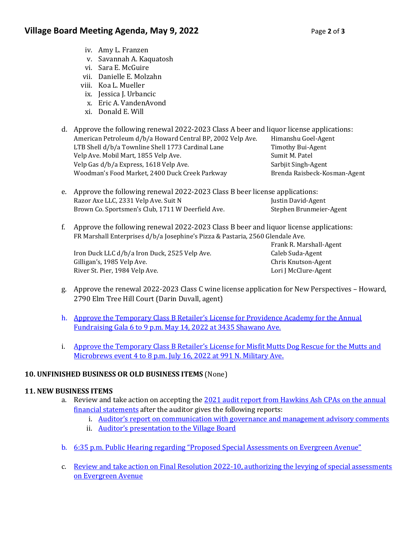- iv. Amy L. Franzen
- v. Savannah A. Kaquatosh
- vi. Sara E. McGuire
- vii. Danielle E. Molzahn
- viii. Koa L. Mueller
- ix. Jessica J. Urbancic
- x. Eric A. VandenAvond
- xi. Donald E. Will
- d. Approve the following renewal 2022-2023 Class A beer and liquor license applications: American Petroleum d/b/a Howard Central BP, 2002 Velp Ave. Himanshu Goel-Agent LTB Shell d/b/a Townline Shell 1773 Cardinal Lane Timothy Bui-Agent Velp Ave. Mobil Mart, 1855 Velp Ave. Sumit M. Patel Velp Gas d/b/a Express, 1618 Velp Ave. Sarbjit Singh-Agent Woodman's Food Market, 2400 Duck Creek Parkway Brenda Raisbeck-Kosman-Agent
- e. Approve the following renewal 2022-2023 Class B beer license applications: Razor Axe LLC, 2331 Velp Ave. Suit N Justin David-Agent Brown Co. Sportsmen's Club, 1711 W Deerfield Ave. Stephen Brunmeier-Agent
- f. Approve the following renewal 2022-2023 Class B beer and liquor license applications: FR Marshall Enterprises d/b/a Josephine's Pizza & Pastaria, 2560 Glendale Ave.

Iron Duck LLC d/b/a Iron Duck, 2525 Velp Ave. Caleb Suda-Agent Gilligan's, 1985 Velp Ave. Chris Knutson-Agent River St. Pier, 1984 Velp Ave. **Lori J McClure-Agent** Lori J McClure-Agent

Frank R. Marshall-Agent

- g. Approve the renewal 2022-2023 Class C wine license application for New Perspectives Howard, 2790 Elm Tree Hill Court (Darin Duvall, agent)
- h. Approve [the Temporary Class B Retailer's License for Providence Academy for the Annual](https://www.villageofhoward.com/DocumentCenter/View/8312/9h-Providence-Academy---Temp-Class-B)  [Fundraising Gala 6 to 9 p.m. May 14, 2022 at 3435 Shawano Ave.](https://www.villageofhoward.com/DocumentCenter/View/8312/9h-Providence-Academy---Temp-Class-B)
- i. Approve [the Temporary Class B Retailer's License for Misfit Mutts Dog Rescue](https://www.villageofhoward.com/DocumentCenter/View/8313/9i-Misfit-Mutts---Temp-Class-B) for the Mutts and [Microbrews event 4 to 8 p.m. July 16, 2022 at 991 N. Military Ave.](https://www.villageofhoward.com/DocumentCenter/View/8313/9i-Misfit-Mutts---Temp-Class-B)

# **10. UNFINISHED BUSINESS OR OLD BUSINESS ITEMS** (None)

## **11. NEW BUSINESS ITEMS**

- a. Review and take action on accepting the 2021 audit report from [Hawkins Ash CPAs on the annual](https://www.villageofhoward.com/DocumentCenter/View/8314/11a-2021-Financial-Statements-w-audit-report)  [financial statements](https://www.villageofhoward.com/DocumentCenter/View/8314/11a-2021-Financial-Statements-w-audit-report) after the auditor gives the following reports:
	- i. [Auditor's report on communication with governance and management advisory comments](https://www.villageofhoward.com/DocumentCenter/View/8315/11a-i-Auditor-report-on-communication)
	- ii. [Auditor's presentation to](https://www.villageofhoward.com/DocumentCenter/View/8316/11a-ii-Hawkins-Ash-board-presentation) the Village Board
- b. [6:35 p.m. Public Hearing regarding "Proposed Special Assessments on Evergreen Avenue"](https://www.villageofhoward.com/DocumentCenter/View/8317/11b-c-Evergreen-Avenue-special-assessments)
- c. Review and take action [on Final Resolution 2022-10, authorizing the levying of special assessments](https://www.villageofhoward.com/DocumentCenter/View/8317/11b-c-Evergreen-Avenue-special-assessments)  [on Evergreen Avenue](https://www.villageofhoward.com/DocumentCenter/View/8317/11b-c-Evergreen-Avenue-special-assessments)